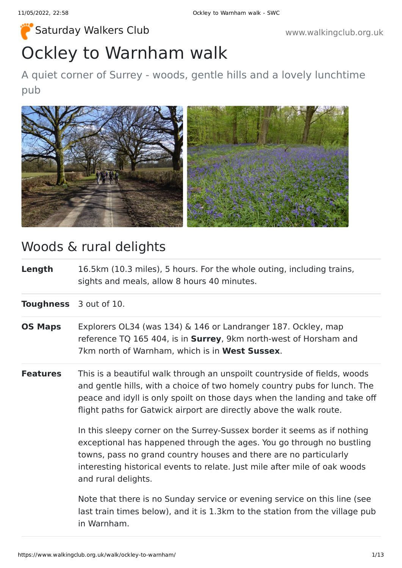# Ockley to Warnham walk [Saturday Walkers Club](https://www.walkingclub.org.uk/) www.walkingclub.org.uk

### A quiet corner of Surrey - woods, gentle hills and a lovely lunchtime pub



### Woods & rural delights

**Length** 16.5km (10.3 miles), 5 hours. For the whole outing, including trains, sights and meals, allow 8 hours 40 minutes.

**Toughness** 3 out of 10.

- **OS Maps** Explorers OL34 (was 134) & 146 or Landranger 187. Ockley, map reference TQ 165 404, is in **Surrey**, 9km north-west of Horsham and 7km north of Warnham, which is in **West Sussex**.
- **Features** This is a beautiful walk through an unspoilt countryside of fields, woods and gentle hills, with a choice of two homely country pubs for lunch. The peace and idyll is only spoilt on those days when the landing and take off flight paths for Gatwick airport are directly above the walk route.

In this sleepy corner on the Surrey-Sussex border it seems as if nothing exceptional has happened through the ages. You go through no bustling towns, pass no grand country houses and there are no particularly interesting historical events to relate. Just mile after mile of oak woods and rural delights.

Note that there is no Sunday service or evening service on this line (see last train times below), and it is 1.3km to the station from the village pub in Warnham.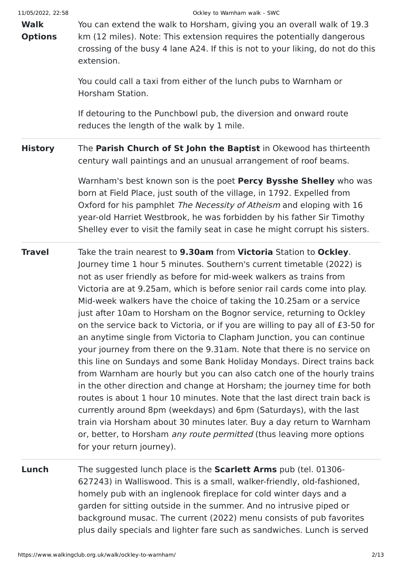| 11/05/2022, 22:58<br><b>Walk</b><br><b>Options</b> | Ockley to Warnham walk - SWC<br>You can extend the walk to Horsham, giving you an overall walk of 19.3<br>km (12 miles). Note: This extension requires the potentially dangerous<br>crossing of the busy 4 lane A24. If this is not to your liking, do not do this<br>extension.<br>You could call a taxi from either of the lunch pubs to Warnham or<br>Horsham Station.<br>If detouring to the Punchbowl pub, the diversion and onward route<br>reduces the length of the walk by 1 mile.                                                                                                                                                                                                                                                                                                                                                                                                                                                                                                                                                                                                                                                                                                                                                                   |
|----------------------------------------------------|---------------------------------------------------------------------------------------------------------------------------------------------------------------------------------------------------------------------------------------------------------------------------------------------------------------------------------------------------------------------------------------------------------------------------------------------------------------------------------------------------------------------------------------------------------------------------------------------------------------------------------------------------------------------------------------------------------------------------------------------------------------------------------------------------------------------------------------------------------------------------------------------------------------------------------------------------------------------------------------------------------------------------------------------------------------------------------------------------------------------------------------------------------------------------------------------------------------------------------------------------------------|
| <b>History</b>                                     | The Parish Church of St John the Baptist in Okewood has thirteenth<br>century wall paintings and an unusual arrangement of roof beams.<br>Warnham's best known son is the poet Percy Bysshe Shelley who was<br>born at Field Place, just south of the village, in 1792. Expelled from<br>Oxford for his pamphlet The Necessity of Atheism and eloping with 16<br>year-old Harriet Westbrook, he was forbidden by his father Sir Timothy<br>Shelley ever to visit the family seat in case he might corrupt his sisters.                                                                                                                                                                                                                                                                                                                                                                                                                                                                                                                                                                                                                                                                                                                                        |
| <b>Travel</b>                                      | Take the train nearest to 9.30am from Victoria Station to Ockley.<br>Journey time 1 hour 5 minutes. Southern's current timetable (2022) is<br>not as user friendly as before for mid-week walkers as trains from<br>Victoria are at 9.25am, which is before senior rail cards come into play.<br>Mid-week walkers have the choice of taking the 10.25am or a service<br>just after 10am to Horsham on the Bognor service, returning to Ockley<br>on the service back to Victoria, or if you are willing to pay all of £3-50 for<br>an anytime single from Victoria to Clapham Junction, you can continue<br>your journey from there on the 9.31am. Note that there is no service on<br>this line on Sundays and some Bank Holiday Mondays. Direct trains back<br>from Warnham are hourly but you can also catch one of the hourly trains<br>in the other direction and change at Horsham; the journey time for both<br>routes is about 1 hour 10 minutes. Note that the last direct train back is<br>currently around 8pm (weekdays) and 6pm (Saturdays), with the last<br>train via Horsham about 30 minutes later. Buy a day return to Warnham<br>or, better, to Horsham <i>any route permitted</i> (thus leaving more options<br>for your return journey). |
| Lunch                                              | The suggested lunch place is the <b>Scarlett Arms</b> pub (tel. 01306-<br>627243) in Walliswood. This is a small, walker-friendly, old-fashioned,<br>homely pub with an inglenook fireplace for cold winter days and a<br>garden for sitting outside in the summer. And no intrusive piped or<br>background musac. The current (2022) menu consists of pub favorites<br>plus daily specials and lighter fare such as sandwiches. Lunch is served                                                                                                                                                                                                                                                                                                                                                                                                                                                                                                                                                                                                                                                                                                                                                                                                              |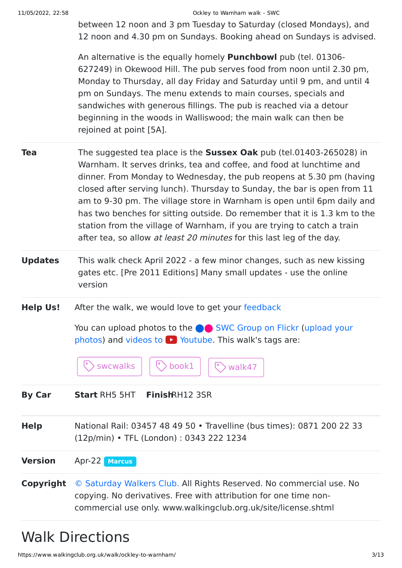between 12 noon and 3 pm Tuesday to Saturday (closed Mondays), and 12 noon and 4.30 pm on Sundays. Booking ahead on Sundays is advised.

An alternative is the equally homely **Punchbowl** pub (tel. 01306- 627249) in Okewood Hill. The pub serves food from noon until 2.30 pm, Monday to Thursday, all day Friday and Saturday until 9 pm, and until 4 pm on Sundays. The menu extends to main courses, specials and sandwiches with generous fillings. The pub is reached via a detour beginning in the woods in Walliswood; the main walk can then be rejoined at point [5A].

- **Tea** The suggested tea place is the **Sussex Oak** pub (tel.01403-265028) in Warnham. It serves drinks, tea and coffee, and food at lunchtime and dinner. From Monday to Wednesday, the pub reopens at 5.30 pm (having closed after serving lunch). Thursday to Sunday, the bar is open from 11 am to 9-30 pm. The village store in Warnham is open until 6pm daily and has two benches for sitting outside. Do remember that it is 1.3 km to the station from the village of Warnham, if you are trying to catch a train after tea, so allow at least 20 minutes for this last leg of the day.
- **Updates** This walk check April 2022 a few minor changes, such as new kissing gates etc. [Pre 2011 Editions] Many small updates - use the online version
- **Help Us!** After the walk, we would love to get your [feedback](https://www.walkingclub.org.uk/walk/ockley-to-warnham/comments.html)

You can upload photos to the **integrat C** [SWC Group on Flickr](http://www.flickr.com/groups/swc) (upload your photos) and videos to  $\blacktriangleright$  Youtube. This walk's tags are:



**By Car Start** RH5 5HT **Finish**RH12 3SR

**Help** National Rail: 03457 48 49 50 • Travelline (bus times): 0871 200 22 33 (12p/min) • TFL (London) : 0343 222 1234

**Version** Apr-22 **[Marcus](https://www.walkingclub.org.uk/walks/marcus.html)**

**Copyright** [© Saturday Walkers Club.](https://www.walkingclub.org.uk/site/license.shtml) All Rights Reserved. No commercial use. No copying. No derivatives. Free with attribution for one time noncommercial use only. www.walkingclub.org.uk/site/license.shtml

## Walk Directions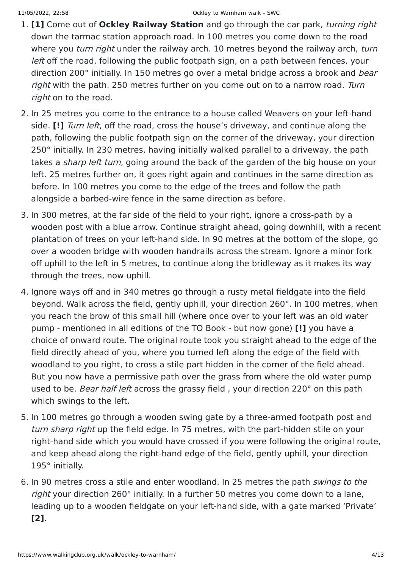- 1. **[1]** Come out of **Ockley Railway Station** and go through the car park, turning right down the tarmac station approach road. In 100 metres you come down to the road where you *turn right* under the railway arch. 10 metres beyond the railway arch, *turn* left off the road, following the public footpath sign, on a path between fences, your direction 200° initially. In 150 metres go over a metal bridge across a brook and *bear* right with the path. 250 metres further on you come out on to a narrow road. Turn right on to the road.
- 2. In 25 metres you come to the entrance to a house called Weavers on your left-hand side. **[!]** Turn left, off the road, cross the house's driveway, and continue along the path, following the public footpath sign on the corner of the driveway, your direction 250° initially. In 230 metres, having initially walked parallel to a driveway, the path takes a *sharp left turn*, going around the back of the garden of the big house on your left. 25 metres further on, it goes right again and continues in the same direction as before. In 100 metres you come to the edge of the trees and follow the path alongside a barbed-wire fence in the same direction as before.
- 3. In 300 metres, at the far side of the field to your right, ignore a cross-path by a wooden post with a blue arrow. Continue straight ahead, going downhill, with a recent plantation of trees on your left-hand side. In 90 metres at the bottom of the slope, go over a wooden bridge with wooden handrails across the stream. Ignore a minor fork off uphill to the left in 5 metres, to continue along the bridleway as it makes its way through the trees, now uphill.
- 4. Ignore ways off and in 340 metres go through a rusty metal fieldgate into the field beyond. Walk across the field, gently uphill, your direction 260°. In 100 metres, when you reach the brow of this small hill (where once over to your left was an old water pump - mentioned in all editions of the TO Book - but now gone) **[!]** you have a choice of onward route. The original route took you straight ahead to the edge of the field directly ahead of you, where you turned left along the edge of the field with woodland to you right, to cross a stile part hidden in the corner of the field ahead. But you now have a permissive path over the grass from where the old water pump used to be. Bear half left across the grassy field, your direction 220° on this path which swings to the left.
- 5. In 100 metres go through a wooden swing gate by a three-armed footpath post and turn sharp right up the field edge. In 75 metres, with the part-hidden stile on your right-hand side which you would have crossed if you were following the original route, and keep ahead along the right-hand edge of the field, gently uphill, your direction 195° initially.
- 6. In 90 metres cross a stile and enter woodland. In 25 metres the path swings to the right your direction 260° initially. In a further 50 metres you come down to a lane, leading up to a wooden fieldgate on your left-hand side, with a gate marked 'Private' **[2]**.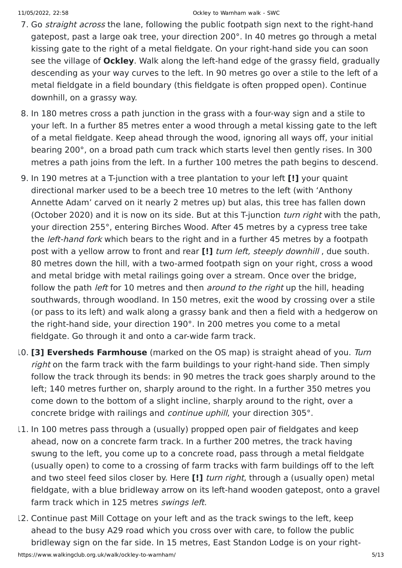- 7. Go *straight across* the lane, following the public footpath sign next to the right-hand gatepost, past a large oak tree, your direction 200°. In 40 metres go through a metal kissing gate to the right of a metal fieldgate. On your right-hand side you can soon see the village of **Ockley**. Walk along the left-hand edge of the grassy field, gradually descending as your way curves to the left. In 90 metres go over a stile to the left of a metal fieldgate in a field boundary (this fieldgate is often propped open). Continue downhill, on a grassy way.
- 8. In 180 metres cross a path junction in the grass with a four-way sign and a stile to your left. In a further 85 metres enter a wood through a metal kissing gate to the left of a metal fieldgate. Keep ahead through the wood, ignoring all ways off, your initial bearing 200°, on a broad path cum track which starts level then gently rises. In 300 metres a path joins from the left. In a further 100 metres the path begins to descend.
- 9. In 190 metres at a T-junction with a tree plantation to your left **[!]** your quaint directional marker used to be a beech tree 10 metres to the left (with 'Anthony Annette Adam' carved on it nearly 2 metres up) but alas, this tree has fallen down (October 2020) and it is now on its side. But at this T-junction turn right with the path, your direction 255°, entering Birches Wood. After 45 metres by a cypress tree take the *left-hand fork* which bears to the right and in a further 45 metres by a footpath post with a yellow arrow to front and rear **[!]** turn left, steeply downhill , due south. 80 metres down the hill, with a two-armed footpath sign on your right, cross a wood and metal bridge with metal railings going over a stream. Once over the bridge, follow the path *left* for 10 metres and then *around to the right* up the hill, heading southwards, through woodland. In 150 metres, exit the wood by crossing over a stile (or pass to its left) and walk along a grassy bank and then a field with a hedgerow on the right-hand side, your direction 190°. In 200 metres you come to a metal fieldgate. Go through it and onto a car-wide farm track.
- 10. **[3] Eversheds Farmhouse** (marked on the OS map) is straight ahead of you. Turn right on the farm track with the farm buildings to your right-hand side. Then simply follow the track through its bends: in 90 metres the track goes sharply around to the left; 140 metres further on, sharply around to the right. In a further 350 metres you come down to the bottom of a slight incline, sharply around to the right, over a concrete bridge with railings and continue uphill, your direction 305°.
- 11. In 100 metres pass through a (usually) propped open pair of fieldgates and keep ahead, now on a concrete farm track. In a further 200 metres, the track having swung to the left, you come up to a concrete road, pass through a metal fieldgate (usually open) to come to a crossing of farm tracks with farm buildings off to the left and two steel feed silos closer by. Here **[!]** turn right, through a (usually open) metal fieldgate, with a blue bridleway arrow on its left-hand wooden gatepost, onto a gravel farm track which in 125 metres swings left.
- 12. Continue past Mill Cottage on your left and as the track swings to the left, keep ahead to the busy A29 road which you cross over with care, to follow the public bridleway sign on the far side. In 15 metres, East Standon Lodge is on your right-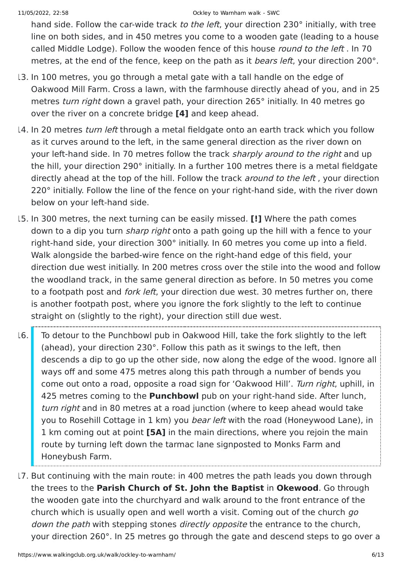hand side. Follow the car-wide track to the left, your direction 230° initially, with tree line on both sides, and in 450 metres you come to a wooden gate (leading to a house called Middle Lodge). Follow the wooden fence of this house round to the left . In 70 metres, at the end of the fence, keep on the path as it *bears left*, your direction 200°.

- 13. In 100 metres, you go through a metal gate with a tall handle on the edge of Oakwood Mill Farm. Cross a lawn, with the farmhouse directly ahead of you, and in 25 metres *turn right* down a gravel path, your direction 265° initially. In 40 metres go over the river on a concrete bridge **[4]** and keep ahead.
- 14. In 20 metres turn left through a metal fieldgate onto an earth track which you follow as it curves around to the left, in the same general direction as the river down on your left-hand side. In 70 metres follow the track sharply around to the right and up the hill, your direction 290° initially. In a further 100 metres there is a metal fieldgate directly ahead at the top of the hill. Follow the track *around to the left*, your direction 220° initially. Follow the line of the fence on your right-hand side, with the river down below on your left-hand side.
- 15. In 300 metres, the next turning can be easily missed. **[!]** Where the path comes down to a dip you turn *sharp right* onto a path going up the hill with a fence to your right-hand side, your direction 300° initially. In 60 metres you come up into a field. Walk alongside the barbed-wire fence on the right-hand edge of this field, your direction due west initially. In 200 metres cross over the stile into the wood and follow the woodland track, in the same general direction as before. In 50 metres you come to a footpath post and *fork left*, your direction due west. 30 metres further on, there is another footpath post, where you ignore the fork slightly to the left to continue straight on (slightly to the right), your direction still due west.
- 16. To detour to the Punchbowl pub in Oakwood Hill, take the fork slightly to the left (ahead), your direction 230°. Follow this path as it swings to the left, then descends a dip to go up the other side, now along the edge of the wood. Ignore all ways off and some 475 metres along this path through a number of bends you come out onto a road, opposite a road sign for 'Oakwood Hill'. Turn right, uphill, in 425 metres coming to the **Punchbowl** pub on your right-hand side. After lunch, turn right and in 80 metres at a road junction (where to keep ahead would take you to Rosehill Cottage in 1 km) you *bear left* with the road (Honeywood Lane), in 1 km coming out at point **[5A]** in the main directions, where you rejoin the main route by turning left down the tarmac lane signposted to Monks Farm and Honeybush Farm.
- 17. But continuing with the main route: in 400 metres the path leads you down through the trees to the **Parish Church of St. John the Baptist** in **Okewood**. Go through the wooden gate into the churchyard and walk around to the front entrance of the church which is usually open and well worth a visit. Coming out of the church go down the path with stepping stones directly opposite the entrance to the church, your direction 260°. In 25 metres go through the gate and descend steps to go over a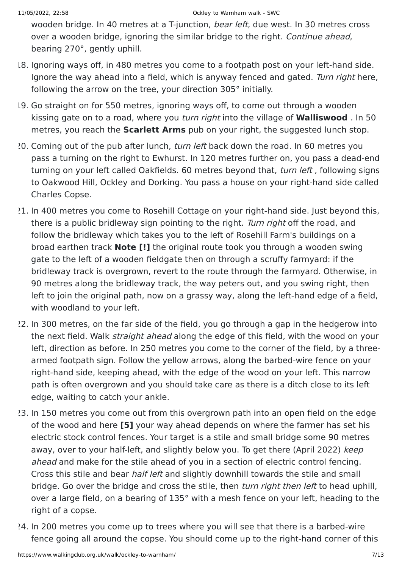wooden bridge. In 40 metres at a T-junction, *bear left*, due west. In 30 metres cross over a wooden bridge, ignoring the similar bridge to the right. Continue ahead, bearing 270°, gently uphill.

- 18. Ignoring ways off, in 480 metres you come to a footpath post on your left-hand side. Ignore the way ahead into a field, which is anyway fenced and gated. Turn right here, following the arrow on the tree, your direction 305° initially.
- 19. Go straight on for 550 metres, ignoring ways off, to come out through a wooden kissing gate on to a road, where you turn right into the village of **Walliswood** . In 50 metres, you reach the **Scarlett Arms** pub on your right, the suggested lunch stop.
- 20. Coming out of the pub after lunch, turn left back down the road. In 60 metres you pass a turning on the right to Ewhurst. In 120 metres further on, you pass a dead-end turning on your left called Oakfields, 60 metres beyond that, turn left, following signs to Oakwood Hill, Ockley and Dorking. You pass a house on your right-hand side called Charles Copse.
- 21. In 400 metres you come to Rosehill Cottage on your right-hand side. Just beyond this, there is a public bridleway sign pointing to the right. Turn right off the road, and follow the bridleway which takes you to the left of Rosehill Farm's buildings on a broad earthen track **Note [!]** the original route took you through a wooden swing gate to the left of a wooden fieldgate then on through a scruffy farmyard: if the bridleway track is overgrown, revert to the route through the farmyard. Otherwise, in 90 metres along the bridleway track, the way peters out, and you swing right, then left to join the original path, now on a grassy way, along the left-hand edge of a field, with woodland to your left.
- 22. In 300 metres, on the far side of the field, you go through a gap in the hedgerow into the next field. Walk straight ahead along the edge of this field, with the wood on your left, direction as before. In 250 metres you come to the corner of the field, by a threearmed footpath sign. Follow the yellow arrows, along the barbed-wire fence on your right-hand side, keeping ahead, with the edge of the wood on your left. This narrow path is often overgrown and you should take care as there is a ditch close to its left edge, waiting to catch your ankle.
- 23. In 150 metres you come out from this overgrown path into an open field on the edge of the wood and here **[5]** your way ahead depends on where the farmer has set his electric stock control fences. Your target is a stile and small bridge some 90 metres away, over to your half-left, and slightly below you. To get there (April 2022) keep ahead and make for the stile ahead of you in a section of electric control fencing. Cross this stile and bear half left and slightly downhill towards the stile and small bridge. Go over the bridge and cross the stile, then *turn right then left* to head uphill, over a large field, on a bearing of 135° with a mesh fence on your left, heading to the right of a copse.
- 24. In 200 metres you come up to trees where you will see that there is a barbed-wire fence going all around the copse. You should come up to the right-hand corner of this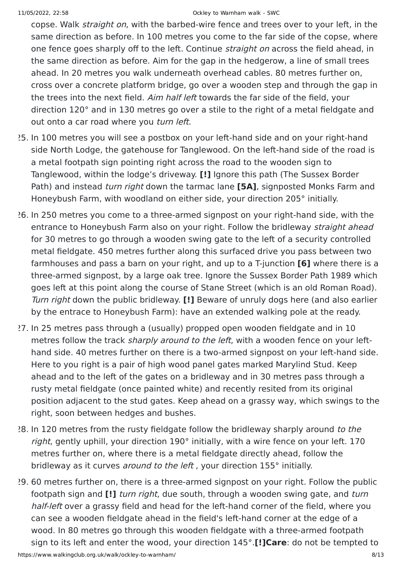copse. Walk straight on, with the barbed-wire fence and trees over to your left, in the same direction as before. In 100 metres you come to the far side of the copse, where one fence goes sharply off to the left. Continue *straight on* across the field ahead, in the same direction as before. Aim for the gap in the hedgerow, a line of small trees ahead. In 20 metres you walk underneath overhead cables. 80 metres further on, cross over a concrete platform bridge, go over a wooden step and through the gap in the trees into the next field. Aim half left towards the far side of the field, your direction 120° and in 130 metres go over a stile to the right of a metal fieldgate and out onto a car road where you turn left.

- 25. In 100 metres you will see a postbox on your left-hand side and on your right-hand side North Lodge, the gatehouse for Tanglewood. On the left-hand side of the road is a metal footpath sign pointing right across the road to the wooden sign to Tanglewood, within the lodge's driveway. **[!]** Ignore this path (The Sussex Border Path) and instead turn right down the tarmac lane **[5A]**, signposted Monks Farm and Honeybush Farm, with woodland on either side, your direction 205° initially.
- 26. In 250 metres you come to a three-armed signpost on your right-hand side, with the entrance to Honeybush Farm also on your right. Follow the bridleway straight ahead for 30 metres to go through a wooden swing gate to the left of a security controlled metal fieldgate. 450 metres further along this surfaced drive you pass between two farmhouses and pass a barn on your right, and up to a T-junction **[6]** where there is a three-armed signpost, by a large oak tree. Ignore the Sussex Border Path 1989 which goes left at this point along the course of Stane Street (which is an old Roman Road). Turn right down the public bridleway. **[!]** Beware of unruly dogs here (and also earlier by the entrace to Honeybush Farm): have an extended walking pole at the ready.
- 27. In 25 metres pass through a (usually) propped open wooden fieldgate and in 10 metres follow the track sharply around to the left, with a wooden fence on your lefthand side. 40 metres further on there is a two-armed signpost on your left-hand side. Here to you right is a pair of high wood panel gates marked Marylind Stud. Keep ahead and to the left of the gates on a bridleway and in 30 metres pass through a rusty metal fieldgate (once painted white) and recently resited from its original position adjacent to the stud gates. Keep ahead on a grassy way, which swings to the right, soon between hedges and bushes.
- 28. In 120 metres from the rusty fieldgate follow the bridleway sharply around to the right, gently uphill, your direction 190° initially, with a wire fence on your left. 170 metres further on, where there is a metal fieldgate directly ahead, follow the bridleway as it curves *around to the left*, your direction 155° initially.
- 29. 60 metres further on, there is a three-armed signpost on your right. Follow the public footpath sign and **[!]** turn right, due south, through a wooden swing gate, and turn half-left over a grassy field and head for the left-hand corner of the field, where you can see a wooden fieldgate ahead in the field's left-hand corner at the edge of a wood. In 80 metres go through this wooden fieldgate with a three-armed footpath sign to its left and enter the wood, your direction 145°.**[!]Care**: do not be tempted to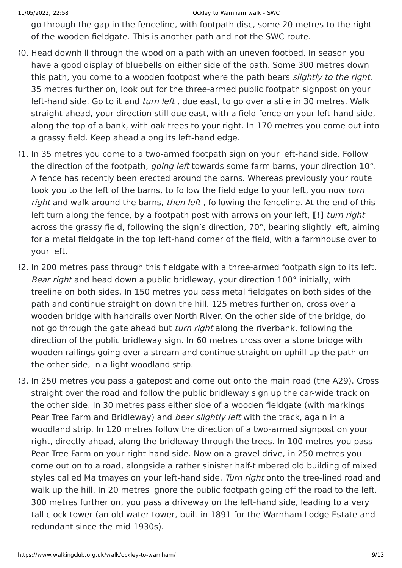go through the gap in the fenceline, with footpath disc, some 20 metres to the right of the wooden fieldgate. This is another path and not the SWC route.

- 30. Head downhill through the wood on a path with an uneven footbed. In season you have a good display of bluebells on either side of the path. Some 300 metres down this path, you come to a wooden footpost where the path bears *slightly to the right*. 35 metres further on, look out for the three-armed public footpath signpost on your left-hand side. Go to it and *turn left*, due east, to go over a stile in 30 metres. Walk straight ahead, your direction still due east, with a field fence on your left-hand side, along the top of a bank, with oak trees to your right. In 170 metres you come out into a grassy field. Keep ahead along its left-hand edge.
- 31. In 35 metres you come to a two-armed footpath sign on your left-hand side. Follow the direction of the footpath, *going left* towards some farm barns, your direction 10°. A fence has recently been erected around the barns. Whereas previously your route took you to the left of the barns, to follow the field edge to your left, you now turn right and walk around the barns, then left, following the fenceline. At the end of this left turn along the fence, by a footpath post with arrows on your left, **[!]** turn right across the grassy field, following the sign's direction, 70°, bearing slightly left, aiming for a metal fieldgate in the top left-hand corner of the field, with a farmhouse over to your left.
- 32. In 200 metres pass through this fieldgate with a three-armed footpath sign to its left. Bear right and head down a public bridleway, your direction 100° initially, with treeline on both sides. In 150 metres you pass metal fieldgates on both sides of the path and continue straight on down the hill. 125 metres further on, cross over a wooden bridge with handrails over North River. On the other side of the bridge, do not go through the gate ahead but turn right along the riverbank, following the direction of the public bridleway sign. In 60 metres cross over a stone bridge with wooden railings going over a stream and continue straight on uphill up the path on the other side, in a light woodland strip.
- 33. In 250 metres you pass a gatepost and come out onto the main road (the A29). Cross straight over the road and follow the public bridleway sign up the car-wide track on the other side. In 30 metres pass either side of a wooden fieldgate (with markings Pear Tree Farm and Bridleway) and *bear slightly left* with the track, again in a woodland strip. In 120 metres follow the direction of a two-armed signpost on your right, directly ahead, along the bridleway through the trees. In 100 metres you pass Pear Tree Farm on your right-hand side. Now on a gravel drive, in 250 metres you come out on to a road, alongside a rather sinister half-timbered old building of mixed styles called Maltmayes on your left-hand side. Turn right onto the tree-lined road and walk up the hill. In 20 metres ignore the public footpath going off the road to the left. 300 metres further on, you pass a driveway on the left-hand side, leading to a very tall clock tower (an old water tower, built in 1891 for the Warnham Lodge Estate and redundant since the mid-1930s).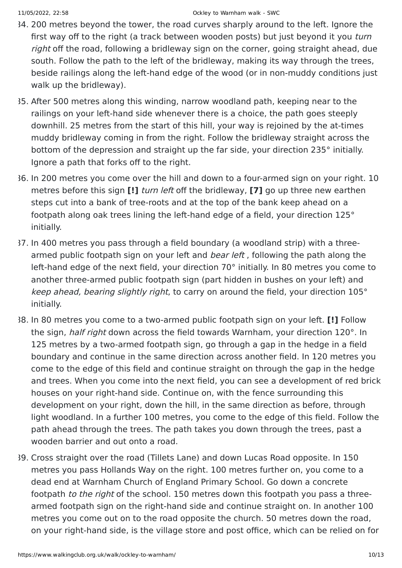- 34. 200 metres beyond the tower, the road curves sharply around to the left. Ignore the first way off to the right (a track between wooden posts) but just beyond it you turn right off the road, following a bridleway sign on the corner, going straight ahead, due south. Follow the path to the left of the bridleway, making its way through the trees, beside railings along the left-hand edge of the wood (or in non-muddy conditions just walk up the bridleway).
- 35. After 500 metres along this winding, narrow woodland path, keeping near to the railings on your left-hand side whenever there is a choice, the path goes steeply downhill. 25 metres from the start of this hill, your way is rejoined by the at-times muddy bridleway coming in from the right. Follow the bridleway straight across the bottom of the depression and straight up the far side, your direction 235° initially. Ignore a path that forks off to the right.
- 36. In 200 metres you come over the hill and down to a four-armed sign on your right. 10 metres before this sign **[!]** turn left off the bridleway, **[7]** go up three new earthen steps cut into a bank of tree-roots and at the top of the bank keep ahead on a footpath along oak trees lining the left-hand edge of a field, your direction 125° initially.
- 37. In 400 metres you pass through a field boundary (a woodland strip) with a threearmed public footpath sign on your left and *bear left*, following the path along the left-hand edge of the next field, your direction 70° initially. In 80 metres you come to another three-armed public footpath sign (part hidden in bushes on your left) and keep ahead, bearing slightly right, to carry on around the field, your direction 105° initially.
- 38. In 80 metres you come to a two-armed public footpath sign on your left. **[!]** Follow the sign, half right down across the field towards Warnham, your direction 120°. In 125 metres by a two-armed footpath sign, go through a gap in the hedge in a field boundary and continue in the same direction across another field. In 120 metres you come to the edge of this field and continue straight on through the gap in the hedge and trees. When you come into the next field, you can see a development of red brick houses on your right-hand side. Continue on, with the fence surrounding this development on your right, down the hill, in the same direction as before, through light woodland. In a further 100 metres, you come to the edge of this field. Follow the path ahead through the trees. The path takes you down through the trees, past a wooden barrier and out onto a road.
- 39. Cross straight over the road (Tillets Lane) and down Lucas Road opposite. In 150 metres you pass Hollands Way on the right. 100 metres further on, you come to a dead end at Warnham Church of England Primary School. Go down a concrete footpath to the right of the school. 150 metres down this footpath you pass a threearmed footpath sign on the right-hand side and continue straight on. In another 100 metres you come out on to the road opposite the church. 50 metres down the road, on your right-hand side, is the village store and post office, which can be relied on for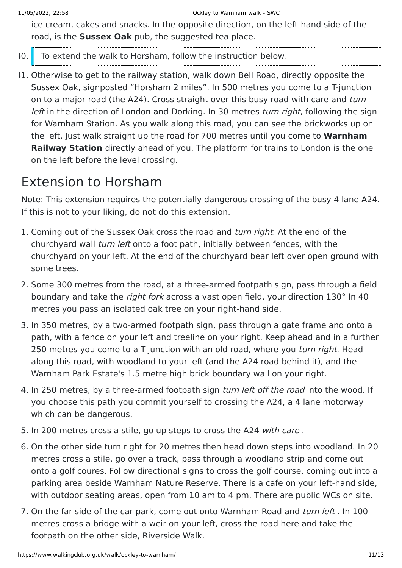ice cream, cakes and snacks. In the opposite direction, on the left-hand side of the road, is the **Sussex Oak** pub, the suggested tea place.

- 40. To extend the walk to Horsham, follow the instruction below.
- 41. Otherwise to get to the railway station, walk down Bell Road, directly opposite the Sussex Oak, signposted "Horsham 2 miles". In 500 metres you come to a T-junction on to a major road (the A24). Cross straight over this busy road with care and turn left in the direction of London and Dorking. In 30 metres *turn right*, following the sign for Warnham Station. As you walk along this road, you can see the brickworks up on the left. Just walk straight up the road for 700 metres until you come to **Warnham Railway Station** directly ahead of you. The platform for trains to London is the one on the left before the level crossing.

### Extension to Horsham

Note: This extension requires the potentially dangerous crossing of the busy 4 lane A24. If this is not to your liking, do not do this extension.

- 1. Coming out of the Sussex Oak cross the road and *turn right*. At the end of the churchyard wall turn left onto a foot path, initially between fences, with the churchyard on your left. At the end of the churchyard bear left over open ground with some trees.
- 2. Some 300 metres from the road, at a three-armed footpath sign, pass through a field boundary and take the right fork across a vast open field, your direction 130° In 40 metres you pass an isolated oak tree on your right-hand side.
- 3. In 350 metres, by a two-armed footpath sign, pass through a gate frame and onto a path, with a fence on your left and treeline on your right. Keep ahead and in a further 250 metres you come to a T-junction with an old road, where you *turn right*. Head along this road, with woodland to your left (and the A24 road behind it), and the Warnham Park Estate's 1.5 metre high brick boundary wall on your right.
- 4. In 250 metres, by a three-armed footpath sign *turn left off the road* into the wood. If you choose this path you commit yourself to crossing the A24, a 4 lane motorway which can be dangerous.
- 5. In 200 metres cross a stile, go up steps to cross the A24 with care.
- 6. On the other side turn right for 20 metres then head down steps into woodland. In 20 metres cross a stile, go over a track, pass through a woodland strip and come out onto a golf coures. Follow directional signs to cross the golf course, coming out into a parking area beside Warnham Nature Reserve. There is a cafe on your left-hand side, with outdoor seating areas, open from 10 am to 4 pm. There are public WCs on site.
- 7. On the far side of the car park, come out onto Warnham Road and turn left . In 100 metres cross a bridge with a weir on your left, cross the road here and take the footpath on the other side, Riverside Walk.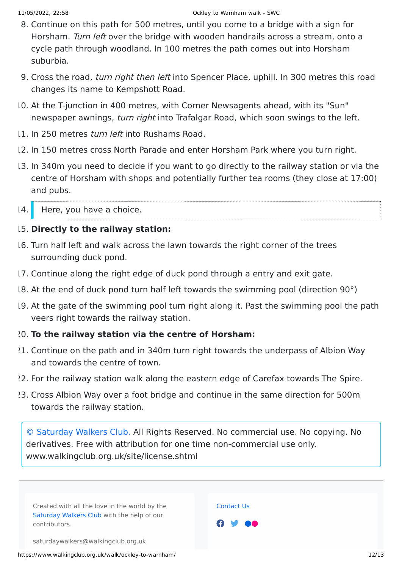- 8. Continue on this path for 500 metres, until you come to a bridge with a sign for Horsham. Turn left over the bridge with wooden handrails across a stream, onto a cycle path through woodland. In 100 metres the path comes out into Horsham suburbia.
- 9. Cross the road, *turn right then left* into Spencer Place, uphill. In 300 metres this road changes its name to Kempshott Road.
- 10. At the T-junction in 400 metres, with Corner Newsagents ahead, with its "Sun" newspaper awnings, turn right into Trafalgar Road, which soon swings to the left.
- 11. In 250 metres turn left into Rushams Road.
- 12. In 150 metres cross North Parade and enter Horsham Park where you turn right.
- 13. In 340m you need to decide if you want to go directly to the railway station or via the centre of Horsham with shops and potentially further tea rooms (they close at 17:00) and pubs.
- 14. Here, you have a choice.

### 15. **Directly to the railway station:**

- 16. Turn half left and walk across the lawn towards the right corner of the trees surrounding duck pond.
- 17. Continue along the right edge of duck pond through a entry and exit gate.
- 18. At the end of duck pond turn half left towards the swimming pool (direction 90°)
- 19. At the gate of the swimming pool turn right along it. Past the swimming pool the path veers right towards the railway station.

#### 20. **To the railway station via the centre of Horsham:**

- 21. Continue on the path and in 340m turn right towards the underpass of Albion Way and towards the centre of town.
- 22. For the railway station walk along the eastern edge of Carefax towards The Spire.
- 23. Cross Albion Way over a foot bridge and continue in the same direction for 500m towards the railway station.

[© Saturday Walkers Club.](https://www.walkingclub.org.uk/site/license.shtml) All Rights Reserved. No commercial use. No copying. No derivatives. Free with attribution for one time non-commercial use only. www.walkingclub.org.uk/site/license.shtml

Created with all the love in the world by the [Saturday Walkers Club](https://www.walkingclub.org.uk/swc/) with the help of our contributors.

[Contact Us](https://www.walkingclub.org.uk/site/contact.shtml)



saturdaywalkers@walkingclub.org.uk